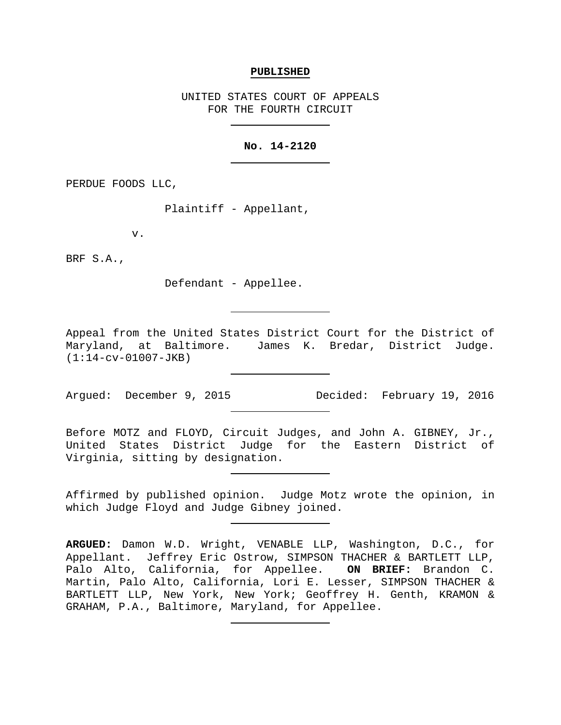#### **PUBLISHED**

UNITED STATES COURT OF APPEALS FOR THE FOURTH CIRCUIT

### **No. 14-2120**

PERDUE FOODS LLC,

Plaintiff - Appellant,

v.

BRF S.A.,

Defendant - Appellee.

Appeal from the United States District Court for the District of Maryland, at Baltimore. James K. Bredar, District Judge. (1:14-cv-01007-JKB)

Argued: December 9, 2015 Decided: February 19, 2016

Before MOTZ and FLOYD, Circuit Judges, and John A. GIBNEY, Jr., United States District Judge for the Eastern District of Virginia, sitting by designation.

Affirmed by published opinion. Judge Motz wrote the opinion, in which Judge Floyd and Judge Gibney joined.

**ARGUED:** Damon W.D. Wright, VENABLE LLP, Washington, D.C., for Appellant. Jeffrey Eric Ostrow, SIMPSON THACHER & BARTLETT LLP, Palo Alto, California, for Appellee. **ON BRIEF:** Brandon C. Martin, Palo Alto, California, Lori E. Lesser, SIMPSON THACHER & BARTLETT LLP, New York, New York; Geoffrey H. Genth, KRAMON & GRAHAM, P.A., Baltimore, Maryland, for Appellee.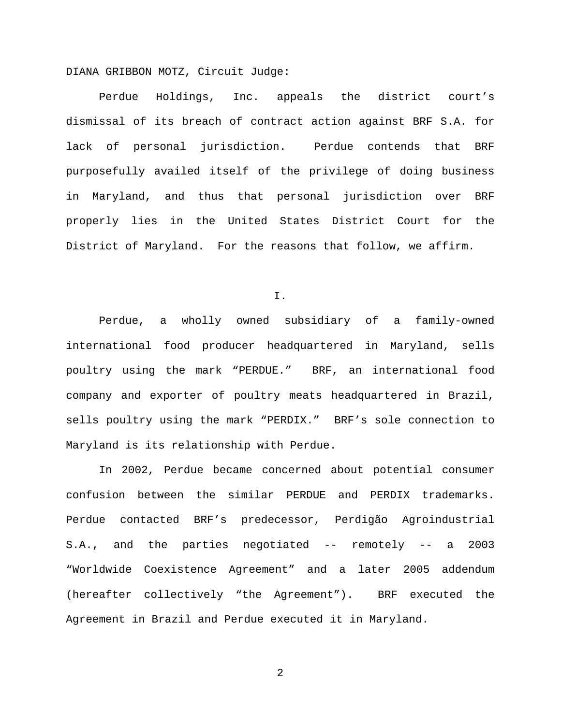DIANA GRIBBON MOTZ, Circuit Judge:

Perdue Holdings, Inc. appeals the district court's dismissal of its breach of contract action against BRF S.A. for lack of personal jurisdiction. Perdue contends that BRF purposefully availed itself of the privilege of doing business in Maryland, and thus that personal jurisdiction over BRF properly lies in the United States District Court for the District of Maryland. For the reasons that follow, we affirm.

I.

Perdue, a wholly owned subsidiary of a family-owned international food producer headquartered in Maryland, sells poultry using the mark "PERDUE." BRF, an international food company and exporter of poultry meats headquartered in Brazil, sells poultry using the mark "PERDIX." BRF's sole connection to Maryland is its relationship with Perdue.

In 2002, Perdue became concerned about potential consumer confusion between the similar PERDUE and PERDIX trademarks. Perdue contacted BRF's predecessor, Perdigão Agroindustrial S.A., and the parties negotiated -- remotely -- a 2003 "Worldwide Coexistence Agreement" and a later 2005 addendum (hereafter collectively "the Agreement"). BRF executed the Agreement in Brazil and Perdue executed it in Maryland.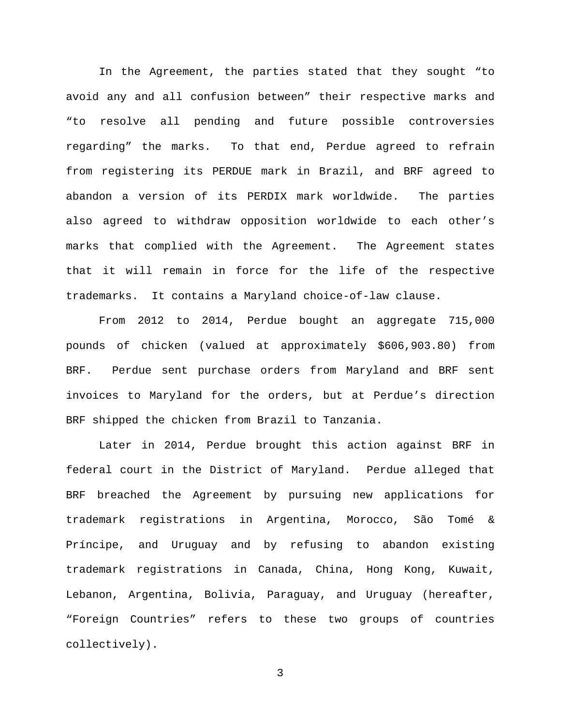In the Agreement, the parties stated that they sought "to avoid any and all confusion between" their respective marks and "to resolve all pending and future possible controversies regarding" the marks. To that end, Perdue agreed to refrain from registering its PERDUE mark in Brazil, and BRF agreed to abandon a version of its PERDIX mark worldwide. The parties also agreed to withdraw opposition worldwide to each other's marks that complied with the Agreement. The Agreement states that it will remain in force for the life of the respective trademarks. It contains a Maryland choice-of-law clause.

From 2012 to 2014, Perdue bought an aggregate 715,000 pounds of chicken (valued at approximately \$606,903.80) from BRF. Perdue sent purchase orders from Maryland and BRF sent invoices to Maryland for the orders, but at Perdue's direction BRF shipped the chicken from Brazil to Tanzania.

Later in 2014, Perdue brought this action against BRF in federal court in the District of Maryland. Perdue alleged that BRF breached the Agreement by pursuing new applications for trademark registrations in Argentina, Morocco, São Tomé & Príncipe, and Uruguay and by refusing to abandon existing trademark registrations in Canada, China, Hong Kong, Kuwait, Lebanon, Argentina, Bolivia, Paraguay, and Uruguay (hereafter, "Foreign Countries" refers to these two groups of countries collectively).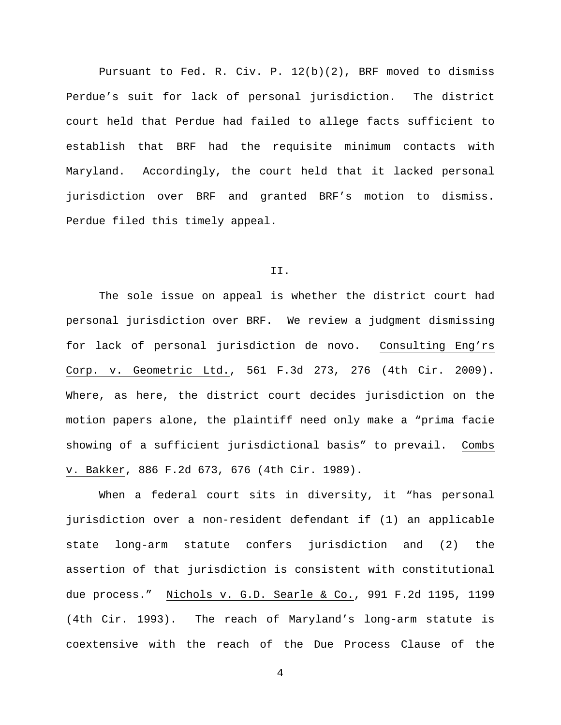Pursuant to Fed. R. Civ. P. 12(b)(2), BRF moved to dismiss Perdue's suit for lack of personal jurisdiction. The district court held that Perdue had failed to allege facts sufficient to establish that BRF had the requisite minimum contacts with Maryland. Accordingly, the court held that it lacked personal jurisdiction over BRF and granted BRF's motion to dismiss. Perdue filed this timely appeal.

### II.

The sole issue on appeal is whether the district court had personal jurisdiction over BRF. We review a judgment dismissing for lack of personal jurisdiction de novo. Consulting Eng'rs Corp. v. Geometric Ltd., 561 F.3d 273, 276 (4th Cir. 2009). Where, as here, the district court decides jurisdiction on the motion papers alone, the plaintiff need only make a "prima facie showing of a sufficient jurisdictional basis" to prevail. Combs v. Bakker, 886 F.2d 673, 676 (4th Cir. 1989).

When a federal court sits in diversity, it "has personal jurisdiction over a non-resident defendant if (1) an applicable state long-arm statute confers jurisdiction and (2) the assertion of that jurisdiction is consistent with constitutional due process." Nichols v. G.D. Searle & Co., 991 F.2d 1195, 1199 (4th Cir. 1993). The reach of Maryland's long-arm statute is coextensive with the reach of the Due Process Clause of the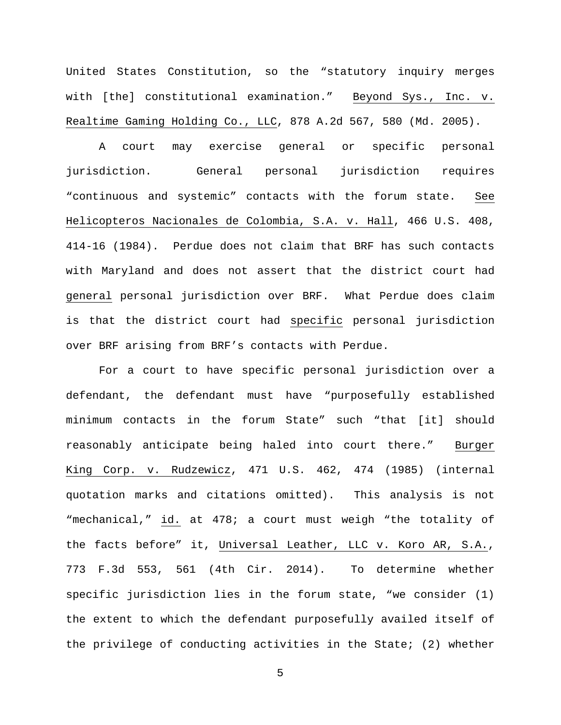United States Constitution, so the "statutory inquiry merges with [the] constitutional examination." Beyond Sys., Inc. v. Realtime Gaming Holding Co., LLC, 878 A.2d 567, 580 (Md. 2005).

A court may exercise general or specific personal jurisdiction. General personal jurisdiction requires "continuous and systemic" contacts with the forum state. See Helicopteros Nacionales de Colombia, S.A. v. Hall, 466 U.S. 408, 414-16 (1984). Perdue does not claim that BRF has such contacts with Maryland and does not assert that the district court had general personal jurisdiction over BRF. What Perdue does claim is that the district court had specific personal jurisdiction over BRF arising from BRF's contacts with Perdue.

For a court to have specific personal jurisdiction over a defendant, the defendant must have "purposefully established minimum contacts in the forum State" such "that [it] should reasonably anticipate being haled into court there." Burger King Corp. v. Rudzewicz, 471 U.S. 462, 474 (1985) (internal quotation marks and citations omitted). This analysis is not "mechanical," id. at 478; a court must weigh "the totality of the facts before" it, Universal Leather, LLC v. Koro AR, S.A., 773 F.3d 553, 561 (4th Cir. 2014). To determine whether specific jurisdiction lies in the forum state, "we consider (1) the extent to which the defendant purposefully availed itself of the privilege of conducting activities in the State; (2) whether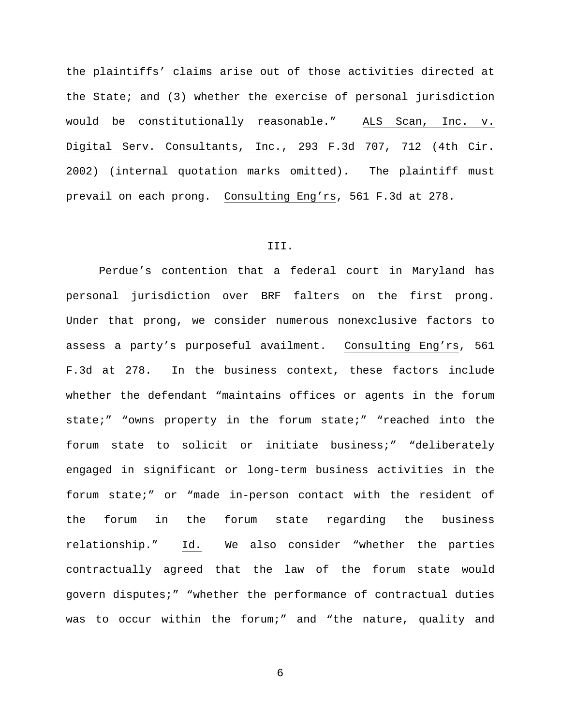the plaintiffs' claims arise out of those activities directed at the State; and (3) whether the exercise of personal jurisdiction would be constitutionally reasonable." ALS Scan, Inc. v. Digital Serv. Consultants, Inc., 293 F.3d 707, 712 (4th Cir. 2002) (internal quotation marks omitted). The plaintiff must prevail on each prong. Consulting Eng'rs, 561 F.3d at 278.

## III.

Perdue's contention that a federal court in Maryland has personal jurisdiction over BRF falters on the first prong. Under that prong, we consider numerous nonexclusive factors to assess a party's purposeful availment. Consulting Eng'rs, 561 F.3d at 278. In the business context, these factors include whether the defendant "maintains offices or agents in the forum state;" "owns property in the forum state;" "reached into the forum state to solicit or initiate business;" "deliberately engaged in significant or long-term business activities in the forum state;" or "made in-person contact with the resident of the forum in the forum state regarding the business relationship." Id. We also consider "whether the parties contractually agreed that the law of the forum state would govern disputes;" "whether the performance of contractual duties was to occur within the forum;" and "the nature, quality and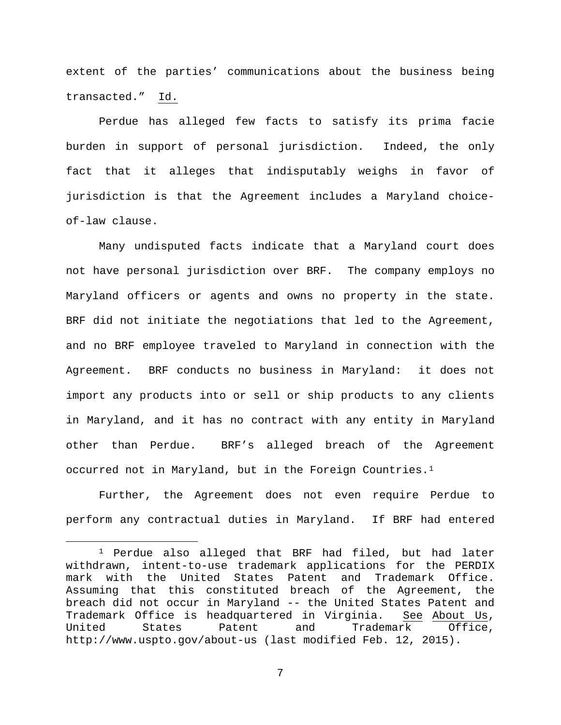extent of the parties' communications about the business being transacted." Id.

Perdue has alleged few facts to satisfy its prima facie burden in support of personal jurisdiction. Indeed, the only fact that it alleges that indisputably weighs in favor of jurisdiction is that the Agreement includes a Maryland choiceof-law clause.

Many undisputed facts indicate that a Maryland court does not have personal jurisdiction over BRF. The company employs no Maryland officers or agents and owns no property in the state. BRF did not initiate the negotiations that led to the Agreement, and no BRF employee traveled to Maryland in connection with the Agreement. BRF conducts no business in Maryland: it does not import any products into or sell or ship products to any clients in Maryland, and it has no contract with any entity in Maryland other than Perdue. BRF's alleged breach of the Agreement occurred not in Maryland, but in the Foreign Countries[.1](#page-6-0)

Further, the Agreement does not even require Perdue to perform any contractual duties in Maryland. If BRF had entered

<span id="page-6-0"></span> <sup>1</sup> Perdue also alleged that BRF had filed, but had later withdrawn, intent-to-use trademark applications for the PERDIX mark with the United States Patent and Trademark Office. Assuming that this constituted breach of the Agreement, the breach did not occur in Maryland -- the United States Patent and Trademark Office is headquartered in Virginia. See About Us, United States Patent and Trademark Office, http://www.uspto.gov/about-us (last modified Feb. 12, 2015).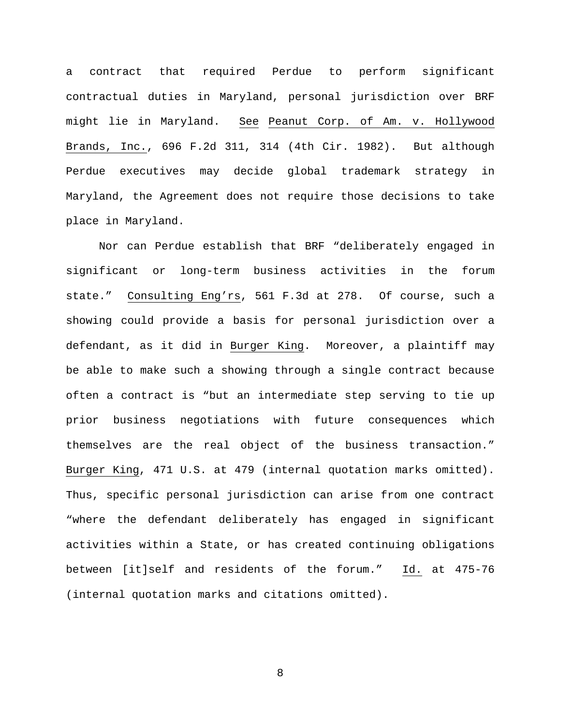a contract that required Perdue to perform significant contractual duties in Maryland, personal jurisdiction over BRF might lie in Maryland. See Peanut Corp. of Am. v. Hollywood Brands, Inc., 696 F.2d 311, 314 (4th Cir. 1982). But although Perdue executives may decide global trademark strategy in Maryland, the Agreement does not require those decisions to take place in Maryland.

Nor can Perdue establish that BRF "deliberately engaged in significant or long-term business activities in the forum state." Consulting Eng'rs, 561 F.3d at 278. Of course, such a showing could provide a basis for personal jurisdiction over a defendant, as it did in Burger King. Moreover, a plaintiff may be able to make such a showing through a single contract because often a contract is "but an intermediate step serving to tie up prior business negotiations with future consequences which themselves are the real object of the business transaction." Burger King, 471 U.S. at 479 (internal quotation marks omitted). Thus, specific personal jurisdiction can arise from one contract "where the defendant deliberately has engaged in significant activities within a State, or has created continuing obligations between [it]self and residents of the forum." Id. at 475-76 (internal quotation marks and citations omitted).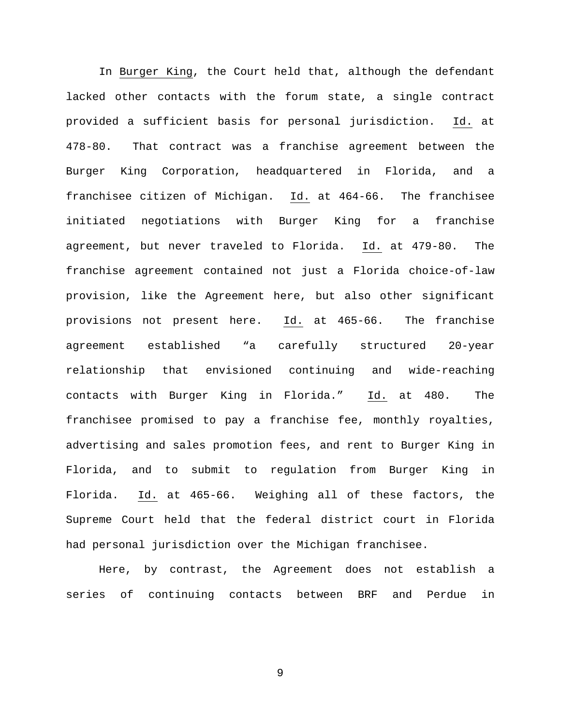In Burger King, the Court held that, although the defendant lacked other contacts with the forum state, a single contract provided a sufficient basis for personal jurisdiction. Id. at 478-80. That contract was a franchise agreement between the Burger King Corporation, headquartered in Florida, and a franchisee citizen of Michigan. Id. at 464-66. The franchisee initiated negotiations with Burger King for a franchise agreement, but never traveled to Florida. Id. at 479-80. The franchise agreement contained not just a Florida choice-of-law provision, like the Agreement here, but also other significant provisions not present here. Id. at 465-66. The franchise agreement established "a carefully structured 20-year relationship that envisioned continuing and wide-reaching contacts with Burger King in Florida." Id. at 480. The franchisee promised to pay a franchise fee, monthly royalties, advertising and sales promotion fees, and rent to Burger King in Florida, and to submit to regulation from Burger King in Florida. Id. at 465-66. Weighing all of these factors, the Supreme Court held that the federal district court in Florida had personal jurisdiction over the Michigan franchisee.

Here, by contrast, the Agreement does not establish a series of continuing contacts between BRF and Perdue in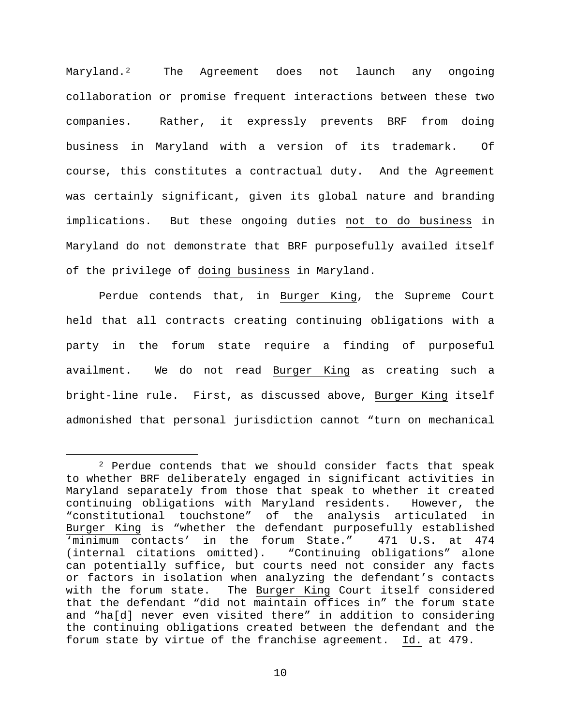Maryland.<sup>[2](#page-9-0)</sup> The Agreement does not launch any ongoing collaboration or promise frequent interactions between these two companies. Rather, it expressly prevents BRF from doing business in Maryland with a version of its trademark. Of course, this constitutes a contractual duty. And the Agreement was certainly significant, given its global nature and branding implications. But these ongoing duties not to do business in Maryland do not demonstrate that BRF purposefully availed itself of the privilege of doing business in Maryland.

Perdue contends that, in Burger King, the Supreme Court held that all contracts creating continuing obligations with a party in the forum state require a finding of purposeful availment. We do not read Burger King as creating such a bright-line rule. First, as discussed above, Burger King itself admonished that personal jurisdiction cannot "turn on mechanical

<span id="page-9-0"></span> <sup>2</sup> Perdue contends that we should consider facts that speak to whether BRF deliberately engaged in significant activities in Maryland separately from those that speak to whether it created<br>continuing obligations with Maryland residents. However, the continuing obligations with Maryland residents. "constitutional touchstone" of the analysis articulated in Burger King is "whether the defendant purposefully established<br>
'minimum contacts' in the forum State." 471 U.S. at 474 'minimum contacts' in the forum State."<br>(internal citations omitted). "Continuing "Continuing obligations" alone can potentially suffice, but courts need not consider any facts or factors in isolation when analyzing the defendant's contacts with the forum state. The Burger King Court itself considered that the defendant "did not maintain offices in" the forum state and "ha[d] never even visited there" in addition to considering the continuing obligations created between the defendant and the forum state by virtue of the franchise agreement. Id. at 479.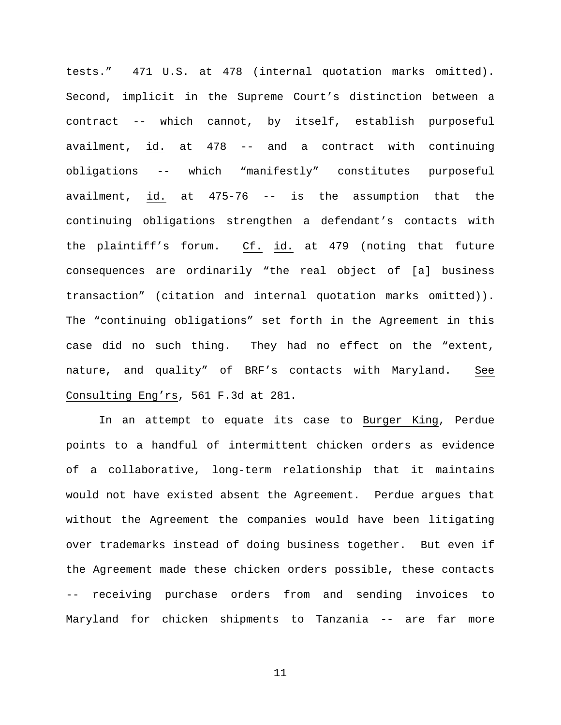tests." 471 U.S. at 478 (internal quotation marks omitted). Second, implicit in the Supreme Court's distinction between a contract -- which cannot, by itself, establish purposeful availment, id. at 478 -- and a contract with continuing obligations -- which "manifestly" constitutes purposeful availment, id. at 475-76 -- is the assumption that the continuing obligations strengthen a defendant's contacts with the plaintiff's forum. Cf. id. at 479 (noting that future consequences are ordinarily "the real object of [a] business transaction" (citation and internal quotation marks omitted)). The "continuing obligations" set forth in the Agreement in this case did no such thing. They had no effect on the "extent, nature, and quality" of BRF's contacts with Maryland. See Consulting Eng'rs, 561 F.3d at 281.

In an attempt to equate its case to Burger King, Perdue points to a handful of intermittent chicken orders as evidence of a collaborative, long-term relationship that it maintains would not have existed absent the Agreement. Perdue argues that without the Agreement the companies would have been litigating over trademarks instead of doing business together. But even if the Agreement made these chicken orders possible, these contacts -- receiving purchase orders from and sending invoices to Maryland for chicken shipments to Tanzania -- are far more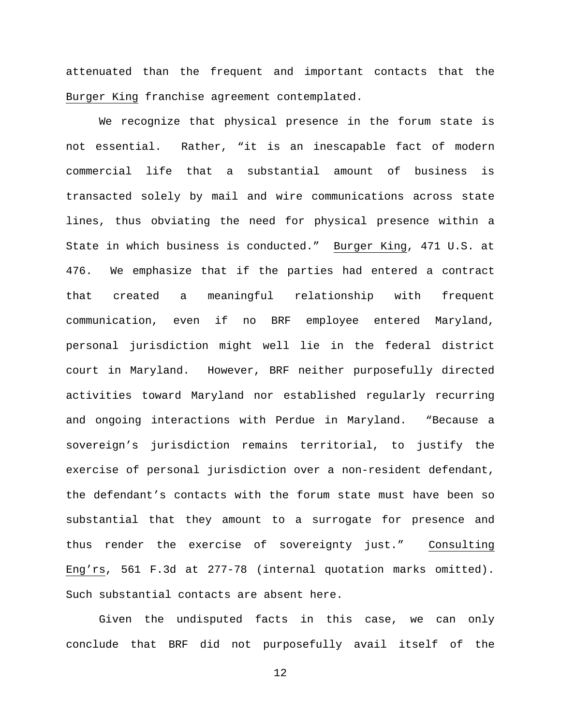attenuated than the frequent and important contacts that the Burger King franchise agreement contemplated.

We recognize that physical presence in the forum state is not essential. Rather, "it is an inescapable fact of modern commercial life that a substantial amount of business is transacted solely by mail and wire communications across state lines, thus obviating the need for physical presence within a State in which business is conducted." Burger King, 471 U.S. at 476. We emphasize that if the parties had entered a contract that created a meaningful relationship with frequent communication, even if no BRF employee entered Maryland, personal jurisdiction might well lie in the federal district court in Maryland. However, BRF neither purposefully directed activities toward Maryland nor established regularly recurring and ongoing interactions with Perdue in Maryland. "Because a sovereign's jurisdiction remains territorial, to justify the exercise of personal jurisdiction over a non-resident defendant, the defendant's contacts with the forum state must have been so substantial that they amount to a surrogate for presence and thus render the exercise of sovereignty just." Consulting Eng'rs, 561 F.3d at 277-78 (internal quotation marks omitted). Such substantial contacts are absent here.

Given the undisputed facts in this case, we can only conclude that BRF did not purposefully avail itself of the